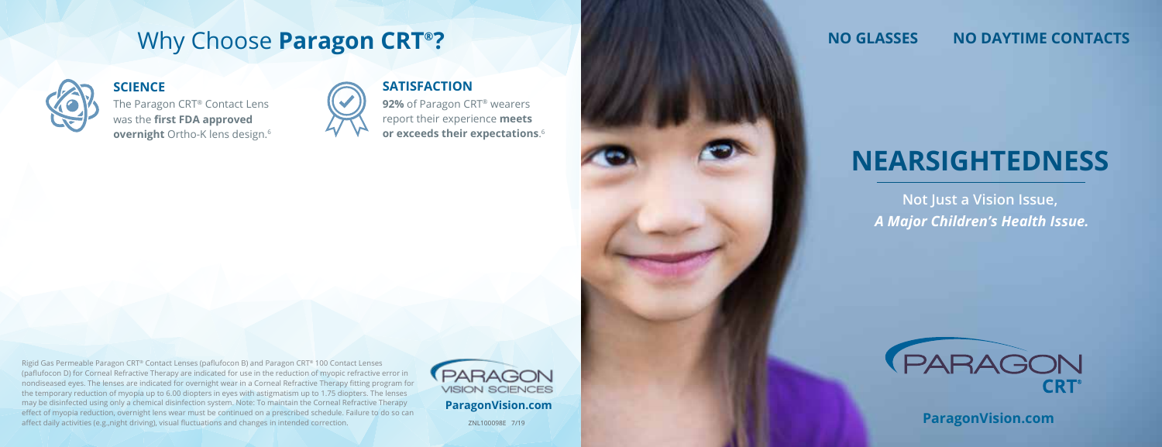## Why Choose **Paragon CRT®?**



The Paragon CRT® Contact Lens was the **first FDA approved overnight** Ortho-K lens design.6

#### **SCIENCE SATISFACTION**

**92%** of Paragon CRT® wearers report their experience **meets or exceeds their expectations**. 6

Rigid Gas Permeable Paragon CRT® Contact Lenses (paflufocon B) and Paragon CRT® 100 Contact Lenses (paflufocon D) for Corneal Refractive Therapy are indicated for use in the reduction of myopic refractive error in nondiseased eyes. The lenses are indicated for overnight wear in a Corneal Refractive Therapy fitting program for the temporary reduction of myopia up to 6.00 diopters in eyes with astigmatism up to 1.75 diopters. The lenses may be disinfected using only a chemical disinfection system. Note: To maintain the Corneal Refractive Therapy effect of myopia reduction, overnight lens wear must be continued on a prescribed schedule. Failure to do so can effect of myopia reduction, overnight lens wear must be continued on a prescribed schedule. Failure to do so can<br>affect daily activities (e.g.,night driving), visual fluctuations and changes in intended correction. ZNL1000



**ParagonVision.com**

### **NO GLASSES NO DAYTIME CONTACTS**

# **NEARSIGHTEDNESS**

**Not Just a Vision Issue,**  *A Major Children's Health Issue.*